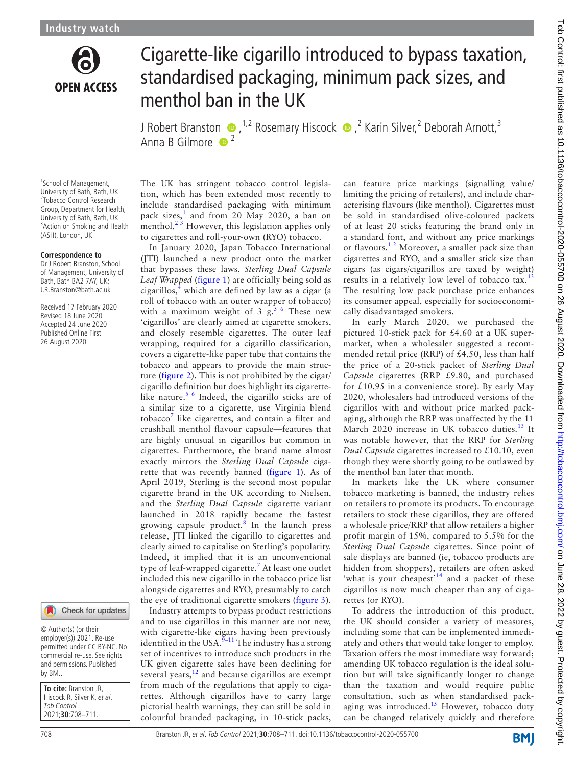

# Cigarette-like cigarillo introduced to bypass taxation, standardised packaging, minimum pack sizes, and menthol ban in the UK

J Robert Bra[n](http://orcid.org/0000-0003-0281-1248)ston  $\bullet$  , <sup>1,2</sup> Rosemary Hiscock  $\bullet$  ,<sup>2</sup> Karin Silver,<sup>2</sup> Deborah Arnott,<sup>3</sup> Anna B Gilmore  $\bullet$ <sup>2</sup>

<sup>1</sup>School of Management, University of Bath, Bath, UK 2 Tobacco Control Research Group, Department for Health, University of Bath, Bath, UK <sup>3</sup> Action on Smoking and Health (ASH), London, UK

#### **Correspondence to**

Dr J Robert Branston, School of Management, University of Bath, Bath BA2 7AY, UK; J.R.Branston@bath.ac.uk

Received 17 February 2020 Revised 18 June 2020 Accepted 24 June 2020 Published Online First 26 August 2020



#### Check for updates

© Author(s) (or their employer(s)) 2021. Re-use permitted under CC BY-NC. No commercial re-use. See rights and permissions. Published by BMJ.

**To cite:** Branston JR, Hiscock R, Silver K, et al. Tob Control 2021;**30**:708–711.

The UK has stringent tobacco control legislation, which has been extended most recently to include standardised packaging with minimum pack sizes,<sup>[1](#page-2-0)</sup> and from 20 May 2020, a ban on menthol.<sup>23</sup> However, this legislation applies only to cigarettes and roll-your-own (RYO) tobacco.

In January 2020, Japan Tobacco International (JTI) launched a new product onto the market that bypasses these laws. *Sterling Dual Capsule Leaf Wrapped* ([figure](#page-1-0) 1) are officially being sold as cigarillos,<sup>[4](#page-3-0)</sup> which are defined by law as a cigar (a roll of tobacco with an outer wrapper of tobacco) with a maximum weight of 3  $g<sup>56</sup>$  These new 'cigarillos' are clearly aimed at cigarette smokers, and closely resemble cigarettes. The outer leaf wrapping, required for a cigarillo classification, covers a cigarette-like paper tube that contains the tobacco and appears to provide the main structure [\(figure](#page-1-1) 2). This is not prohibited by the cigar/ cigarillo definition but does highlight its cigarettelike nature.<sup>5 6</sup> Indeed, the cigarillo sticks are of a similar size to a cigarette, use Virginia blend tobacco<sup>[7](#page-3-2)</sup> like cigarettes, and contain a filter and crushball menthol flavour capsule—features that are highly unusual in cigarillos but common in cigarettes. Furthermore, the brand name almost exactly mirrors the *Sterling Dual Capsule* cigarette that was recently banned ([figure](#page-1-0) 1). As of April 2019, Sterling is the second most popular cigarette brand in the UK according to Nielsen, and the *Sterling Dual Capsule* cigarette variant launched in 2018 rapidly became the fastest growing capsule product.<sup>[8](#page-3-3)</sup> In the launch press release, JTI linked the cigarillo to cigarettes and clearly aimed to capitalise on Sterling's popularity. Indeed, it implied that it is an unconventional type of leaf-wrapped cigarette.<sup>[7](#page-3-2)</sup> At least one outlet included this new cigarillo in the tobacco price list alongside cigarettes and RYO, presumably to catch the eye of traditional cigarette smokers ([figure](#page-1-2) 3).

Industry attempts to bypass product restrictions and to use cigarillos in this manner are not new, with cigarette-like cigars having been previously identified in the USA.<sup>[9–11](#page-3-4)</sup> The industry has a strong set of incentives to introduce such products in the UK given cigarette sales have been declining for several years, $12$  and because cigarillos are exempt from much of the regulations that apply to cigarettes. Although cigarillos have to carry large pictorial health warnings, they can still be sold in colourful branded packaging, in 10-stick packs, can feature price markings (signalling value/ limiting the pricing of retailers), and include characterising flavours (like menthol). Cigarettes must be sold in standardised olive-coloured packets of at least 20 sticks featuring the brand only in a standard font, and without any price markings or flavours.<sup>12</sup> Moreover, a smaller pack size than cigarettes and RYO, and a smaller stick size than cigars (as cigars/cigarillos are taxed by weight) results in a relatively low level of tobacco tax.<sup>[13](#page-3-6)</sup> The resulting low pack purchase price enhances its consumer appeal, especially for socioeconomically disadvantaged smokers.

In early March 2020, we purchased the pictured 10-stick pack for £4.60 at a UK supermarket, when a wholesaler suggested a recommended retail price (RRP) of £4.50, less than half the price of a 20-stick packet of *Sterling Dual Capsule* cigarettes (RRP £9.80, and purchased for £10.95 in a convenience store). By early May 2020, wholesalers had introduced versions of the cigarillos with and without price marked packaging, although the RRP was unaffected by the 11 March 2020 increase in UK tobacco duties.<sup>[13](#page-3-6)</sup> It was notable however, that the RRP for *Sterling Dual Capsule* cigarettes increased to £10.10, even though they were shortly going to be outlawed by the menthol ban later that month.

In markets like the UK where consumer tobacco marketing is banned, the industry relies on retailers to promote its products. To encourage retailers to stock these cigarillos, they are offered a wholesale price/RRP that allow retailers a higher profit margin of 15%, compared to 5.5% for the *Sterling Dual Capsule* cigarettes. Since point of sale displays are banned (ie, tobacco products are hidden from shoppers), retailers are often asked 'what is your cheapest<sup> $14$ </sup> and a packet of these cigarillos is now much cheaper than any of cigarettes (or RYO).

To address the introduction of this product, the UK should consider a variety of measures, including some that can be implemented immediately and others that would take longer to employ. Taxation offers the most immediate way forward; amending UK tobacco regulation is the ideal solution but will take significantly longer to change than the taxation and would require public consultation, such as when standardised pack-aging was introduced.<sup>[15](#page-3-8)</sup> However, tobacco duty can be changed relatively quickly and therefore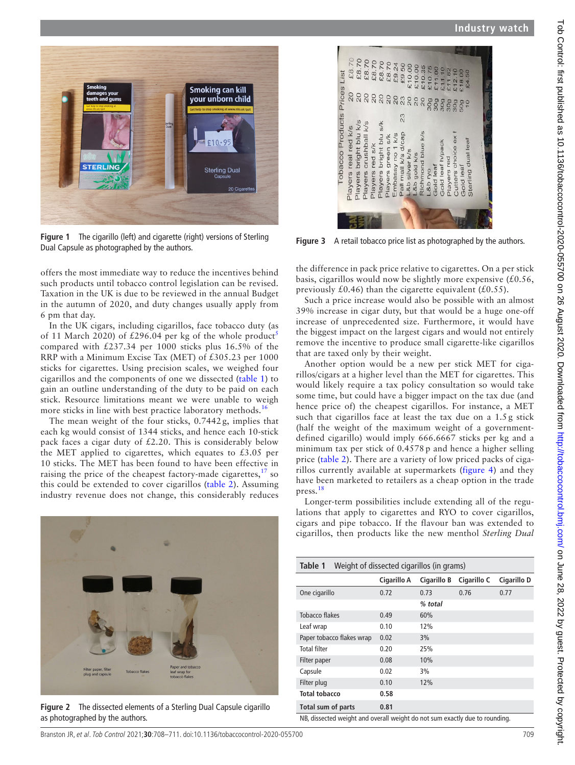

**Figure 1** The cigarillo (left) and cigarette (right) versions of Sterling Dual Capsule as photographed by the authors.

<span id="page-1-0"></span>offers the most immediate way to reduce the incentives behind such products until tobacco control legislation can be revised. Taxation in the UK is due to be reviewed in the annual Budget in the autumn of 2020, and duty changes usually apply from 6 pm that day.

In the UK cigars, including cigarillos, face tobacco duty (as of 11 March 2020) of £296.04 per kg of the whole product<sup>[5](#page-3-1)</sup> compared with £237.34 per 1000 sticks plus 16.5% of the RRP with a Minimum Excise Tax (MET) of £305.23 per 1000 sticks for cigarettes. Using precision scales, we weighed four cigarillos and the components of one we dissected ([table](#page-1-3) 1) to gain an outline understanding of the duty to be paid on each stick. Resource limitations meant we were unable to weigh more sticks in line with best practice laboratory methods.<sup>[16](#page-3-9)</sup>

The mean weight of the four sticks, 0.7442 g, implies that each kg would consist of 1344 sticks, and hence each 10-stick pack faces a cigar duty of  $£2.20$ . This is considerably below the MET applied to cigarettes, which equates to  $£3.05$  per 10 sticks. The MET has been found to have been effective in raising the price of the cheapest factory-made cigarettes,  $\frac{17}{12}$  so this could be extended to cover cigarillos [\(table](#page-2-2) 2). Assuming industry revenue does not change, this considerably reduces

<span id="page-1-1"></span>

**Figure 2** The dissected elements of a Sterling Dual Capsule cigarillo as photographed by the authors.



**Figure 3** A retail tobacco price list as photographed by the authors.

<span id="page-1-2"></span>the difference in pack price relative to cigarettes. On a per stick basis, cigarillos would now be slightly more expensive  $(£0.56,$ previously £0.46) than the cigarette equivalent (£0.55).

Such a price increase would also be possible with an almost 39% increase in cigar duty, but that would be a huge one-off increase of unprecedented size. Furthermore, it would have the biggest impact on the largest cigars and would not entirely remove the incentive to produce small cigarette-like cigarillos that are taxed only by their weight.

Another option would be a new per stick MET for cigarillos/cigars at a higher level than the MET for cigarettes. This would likely require a tax policy consultation so would take some time, but could have a bigger impact on the tax due (and hence price of) the cheapest cigarillos. For instance, a MET such that cigarillos face at least the tax due on a 1.5 g stick (half the weight of the maximum weight of a governmentdefined cigarillo) would imply 666.6667 sticks per kg and a minimum tax per stick of 0.4578 p and hence a higher selling price ([table](#page-2-2) 2). There are a variety of low priced packs of cigarillos currently available at supermarkets [\(figure](#page-2-3) 4) and they have been marketed to retailers as a cheap option in the trade press.<sup>[18](#page-3-11)</sup>

Longer-term possibilities include extending all of the regulations that apply to cigarettes and RYO to cover cigarillos, cigars and pipe tobacco. If the flavour ban was extended to cigarillos, then products like the new menthol *Sterling Dual* 

<span id="page-1-3"></span>

| Weight of dissected cigarillos (in grams)<br>Table 1                        |             |             |             |             |  |
|-----------------------------------------------------------------------------|-------------|-------------|-------------|-------------|--|
|                                                                             | Cigarillo A | Cigarillo B | Cigarillo C | Cigarillo D |  |
| One cigarillo                                                               | 0.72        | 0.73        | 0.76        | 0.77        |  |
|                                                                             |             | % total     |             |             |  |
| Tobacco flakes                                                              | 0.49        | 60%         |             |             |  |
| Leaf wrap                                                                   | 0.10        | 12%         |             |             |  |
| Paper tobacco flakes wrap                                                   | 0.02        | 3%          |             |             |  |
| Total filter                                                                | 0.20        | 25%         |             |             |  |
| Filter paper                                                                | 0.08        | 10%         |             |             |  |
| Capsule                                                                     | 0.02        | 3%          |             |             |  |
| Filter plug                                                                 | 0.10        | 12%         |             |             |  |
| <b>Total tobacco</b>                                                        | 0.58        |             |             |             |  |
| Total sum of parts                                                          | 0.81        |             |             |             |  |
| NB, dissected weight and overall weight do not sum exactly due to rounding. |             |             |             |             |  |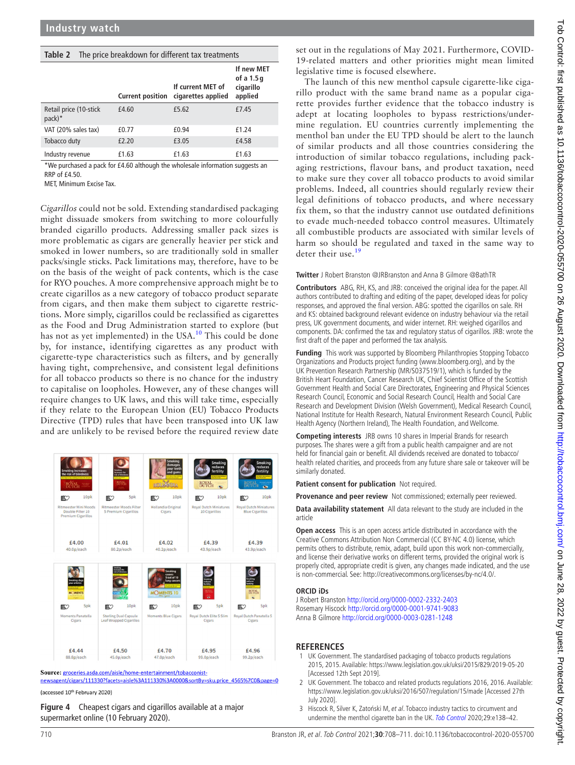<span id="page-2-2"></span>

| Table 2                            | The price breakdown for different tax treatments |                                         |                                                  |  |  |
|------------------------------------|--------------------------------------------------|-----------------------------------------|--------------------------------------------------|--|--|
|                                    | <b>Current position</b>                          | If current MET of<br>cigarettes applied | If new MET<br>of a 1.5 g<br>cigarillo<br>applied |  |  |
| Retail price (10-stick<br>$pack)*$ | £4.60                                            | £5.62                                   | £7.45                                            |  |  |
| VAT (20% sales tax)                | £0.77                                            | £0.94                                   | £1.24                                            |  |  |
| Tobacco duty                       | £2.20                                            | £3.05                                   | £4.58                                            |  |  |
| Industry revenue                   | £1.63                                            | £1.63                                   | £1.63                                            |  |  |

\*We purchased a pack for £4.60 although the wholesale information suggests an RRP of  $f4.50$ 

MET, Minimum Excise Tax.

*Cigarillos* could not be sold. Extending standardised packaging might dissuade smokers from switching to more colourfully branded cigarillo products. Addressing smaller pack sizes is more problematic as cigars are generally heavier per stick and smoked in lower numbers, so are traditionally sold in smaller packs/single sticks. Pack limitations may, therefore, have to be on the basis of the weight of pack contents, which is the case for RYO pouches. A more comprehensive approach might be to create cigarillos as a new category of tobacco product separate from cigars, and then make them subject to cigarette restrictions. More simply, cigarillos could be reclassified as cigarettes as the Food and Drug Administration started to explore (but has not as yet implemented) in the USA.<sup>[10](#page-3-12)</sup> This could be done by, for instance, identifying cigarettes as any product with cigarette-type characteristics such as filters, and by generally having tight, comprehensive, and consistent legal definitions for all tobacco products so there is no chance for the industry to capitalise on loopholes. However, any of these changes will require changes to UK laws, and this will take time, especially if they relate to the European Union (EU) Tobacco Products Directive (TPD) rules that have been transposed into UK law and are unlikely to be revised before the required review date



Source: groceries.asda.com/aisle/home-entertainment/tobacconistnewsagent/cigars/111330?facets=aisle%3A111330%3A0000&sortBy=sku.price\_4565%7C0&page=0

<span id="page-2-3"></span>(accessed 10<sup>th</sup> February 2020)

**Figure 4** Cheapest cigars and cigarillos available at a major supermarket online (10 February 2020).

set out in the regulations of May 2021. Furthermore, COVID-19-related matters and other priorities might mean limited legislative time is focused elsewhere.

The launch of this new menthol capsule cigarette-like cigarillo product with the same brand name as a popular cigarette provides further evidence that the tobacco industry is adept at locating loopholes to bypass restrictions/undermine regulation. EU countries currently implementing the menthol ban under the EU TPD should be alert to the launch of similar products and all those countries considering the introduction of similar tobacco regulations, including packaging restrictions, flavour bans, and product taxation, need to make sure they cover all tobacco products to avoid similar problems. Indeed, all countries should regularly review their legal definitions of tobacco products, and where necessary fix them, so that the industry cannot use outdated definitions to evade much-needed tobacco control measures. Ultimately all combustible products are associated with similar levels of harm so should be regulated and taxed in the same way to deter their use <sup>[19](#page-3-13)</sup>

#### **Twitter** J Robert Branston [@JRBranston](https://twitter.com/JRBranston) and Anna B Gilmore [@BathTR](https://twitter.com/BathTR)

**Contributors** ABG, RH, KS, and JRB: conceived the original idea for the paper. All authors contributed to drafting and editing of the paper, developed ideas for policy responses, and approved the final version. ABG: spotted the cigarillos on sale. RH and KS: obtained background relevant evidence on industry behaviour via the retail press, UK government documents, and wider internet. RH: weighed cigarillos and components. DA: confirmed the tax and regulatory status of cigarillos. JRB: wrote the first draft of the paper and performed the tax analysis.

**Funding** This work was supported by Bloomberg Philanthropies Stopping Tobacco Organizations and Products project funding (www.bloomberg.org), and by the UK Prevention Research Partnership (MR/S037519/1), which is funded by the British Heart Foundation, Cancer Research UK, Chief Scientist Office of the Scottish Government Health and Social Care Directorates, Engineering and Physical Sciences Research Council, Economic and Social Research Council, Health and Social Care Research and Development Division (Welsh Government), Medical Research Council, National Institute for Health Research, Natural Environment Research Council, Public Health Agency (Northern Ireland), The Health Foundation, and Wellcome.

**Competing interests** JRB owns 10 shares in Imperial Brands for research purposes. The shares were a gift from a public health campaigner and are not held for financial gain or benefit. All dividends received are donated to tobacco/ health related charities, and proceeds from any future share sale or takeover will be similarly donated.

**Patient consent for publication** Not required.

**Provenance and peer review** Not commissioned; externally peer reviewed.

**Data availability statement** All data relevant to the study are included in the article

**Open access** This is an open access article distributed in accordance with the Creative Commons Attribution Non Commercial (CC BY-NC 4.0) license, which permits others to distribute, remix, adapt, build upon this work non-commercially, and license their derivative works on different terms, provided the original work is properly cited, appropriate credit is given, any changes made indicated, and the use is non-commercial. See: [http://creativecommons.org/licenses/by-nc/4.0/.](http://creativecommons.org/licenses/by-nc/4.0/)

#### **ORCID iDs**

J Robert Branston <http://orcid.org/0000-0002-2332-2403> Rosemary Hiscock <http://orcid.org/0000-0001-9741-9083> Anna B Gilmore <http://orcid.org/0000-0003-0281-1248>

### **REFERENCES**

- <span id="page-2-0"></span>1 UK Government. The standardised packaging of tobacco products regulations 2015, 2015. Available: <https://www.legislation.gov.uk/uksi/2015/829/2019-05-20> [Accessed 12th Sept 2019].
- <span id="page-2-1"></span>2 UK Government. The tobacco and related products regulations 2016, 2016. Available: <https://www.legislation.gov.uk/uksi/2016/507/regulation/15/made> [Accessed 27th July 2020].
- 3 Hiscock R, Silver K, Zatoński M, et al. Tobacco industry tactics to circumvent and undermine the menthol cigarette ban in the UK. [Tob Control](http://dx.doi.org/10.1136/tobaccocontrol-2020-055769) 2020;29:e138-42.